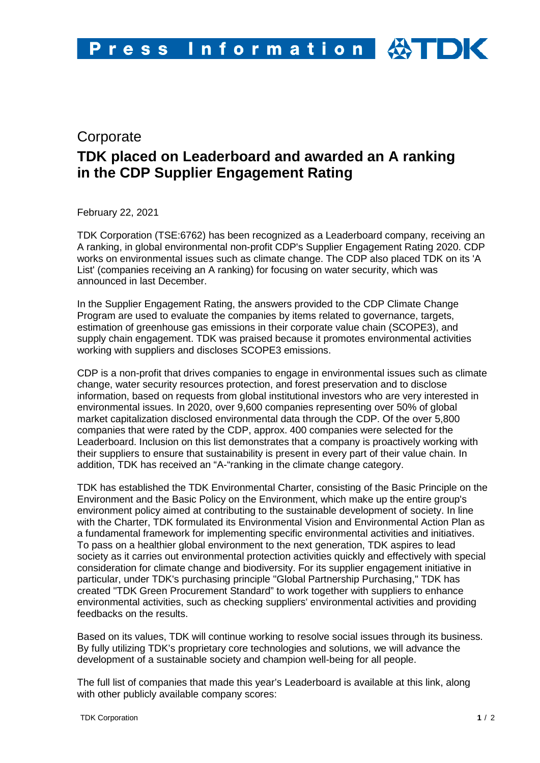## **Corporate TDK placed on Leaderboard and awarded an A ranking in the CDP Supplier Engagement Rating**

February 22, 2021

TDK Corporation (TSE:6762) has been recognized as a Leaderboard company, receiving an A ranking, in global environmental non-profit CDP's Supplier Engagement Rating 2020. CDP works on environmental issues such as climate change. The CDP also placed TDK on its 'A List' (companies receiving an A ranking) for focusing on water security, which was announced in last December.

In the Supplier Engagement Rating, the answers provided to the CDP Climate Change Program are used to evaluate the companies by items related to governance, targets, estimation of greenhouse gas emissions in their corporate value chain (SCOPE3), and supply chain engagement. TDK was praised because it promotes environmental activities working with suppliers and discloses SCOPE3 emissions.

CDP is a non-profit that drives companies to engage in environmental issues such as climate change, water security resources protection, and forest preservation and to disclose information, based on requests from global institutional investors who are very interested in environmental issues. In 2020, over 9,600 companies representing over 50% of global market capitalization disclosed environmental data through the CDP. Of the over 5,800 companies that were rated by the CDP, approx. 400 companies were selected for the Leaderboard. Inclusion on this list demonstrates that a company is proactively working with their suppliers to ensure that sustainability is present in every part of their value chain. In addition, TDK has received an "A-"ranking in the climate change category.

TDK has established the TDK Environmental Charter, consisting of the Basic Principle on the Environment and the Basic Policy on the Environment, which make up the entire group's environment policy aimed at contributing to the sustainable development of society. In line with the Charter, TDK formulated its Environmental Vision and Environmental Action Plan as a fundamental framework for implementing specific environmental activities and initiatives. To pass on a healthier global environment to the next generation, TDK aspires to lead society as it carries out environmental protection activities quickly and effectively with special consideration for climate change and biodiversity. For its supplier engagement initiative in particular, under TDK's purchasing principle "Global Partnership Purchasing," TDK has created "TDK Green Procurement Standard" to work together with suppliers to enhance environmental activities, such as checking suppliers' environmental activities and providing feedbacks on the results.

Based on its values, TDK will continue working to resolve social issues through its business. By fully utilizing TDK's proprietary core technologies and solutions, we will advance the development of a sustainable society and champion well-being for all people.

The full list of companies that made this year's Leaderboard is available at this link, along with other publicly available company scores: